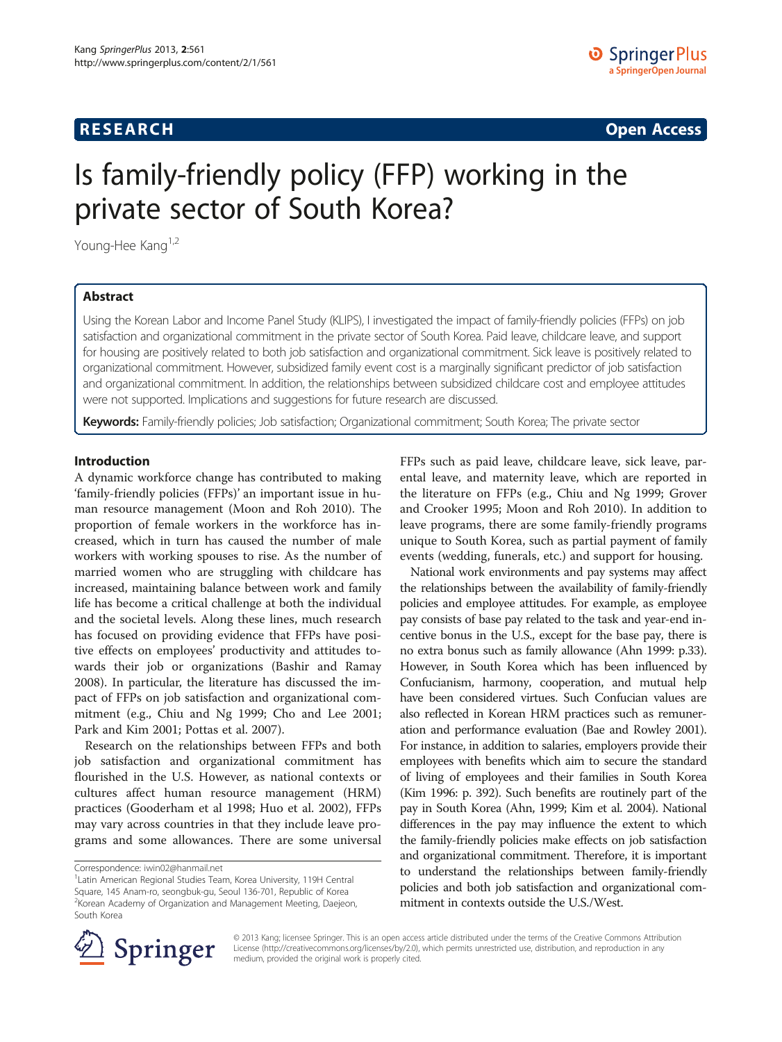# **RESEARCH RESEARCH** *CHECKER CHECKER CHECKER CHECKER CHECKER CHECKER CHECKER CHECKER CHECKER CHECKER CHECKER*

# Is family-friendly policy (FFP) working in the private sector of South Korea?

Young-Hee Kang<sup>1,2</sup>

# Abstract

Using the Korean Labor and Income Panel Study (KLIPS), I investigated the impact of family-friendly policies (FFPs) on job satisfaction and organizational commitment in the private sector of South Korea. Paid leave, childcare leave, and support for housing are positively related to both job satisfaction and organizational commitment. Sick leave is positively related to organizational commitment. However, subsidized family event cost is a marginally significant predictor of job satisfaction and organizational commitment. In addition, the relationships between subsidized childcare cost and employee attitudes were not supported. Implications and suggestions for future research are discussed.

Keywords: Family-friendly policies; Job satisfaction; Organizational commitment; South Korea; The private sector

#### Introduction

A dynamic workforce change has contributed to making 'family-friendly policies (FFPs)' an important issue in human resource management (Moon and Roh [2010](#page-9-0)). The proportion of female workers in the workforce has increased, which in turn has caused the number of male workers with working spouses to rise. As the number of married women who are struggling with childcare has increased, maintaining balance between work and family life has become a critical challenge at both the individual and the societal levels. Along these lines, much research has focused on providing evidence that FFPs have positive effects on employees' productivity and attitudes towards their job or organizations (Bashir and Ramay [2008](#page-9-0)). In particular, the literature has discussed the impact of FFPs on job satisfaction and organizational commitment (e.g., Chiu and Ng [1999](#page-9-0); Cho and Lee [2001](#page-9-0); Park and Kim [2001;](#page-10-0) Pottas et al. [2007](#page-10-0)).

Research on the relationships between FFPs and both job satisfaction and organizational commitment has flourished in the U.S. However, as national contexts or cultures affect human resource management (HRM) practices (Gooderham et al [1998](#page-9-0); Huo et al. [2002](#page-9-0)), FFPs may vary across countries in that they include leave programs and some allowances. There are some universal

Correspondence: [iwin02@hanmail.net](mailto:iwin02@hanmail.net) <sup>1</sup>

FFPs such as paid leave, childcare leave, sick leave, parental leave, and maternity leave, which are reported in the literature on FFPs (e.g., Chiu and Ng [1999;](#page-9-0) Grover and Crooker [1995;](#page-9-0) Moon and Roh [2010](#page-9-0)). In addition to leave programs, there are some family-friendly programs unique to South Korea, such as partial payment of family events (wedding, funerals, etc.) and support for housing.

National work environments and pay systems may affect the relationships between the availability of family-friendly policies and employee attitudes. For example, as employee pay consists of base pay related to the task and year-end incentive bonus in the U.S., except for the base pay, there is no extra bonus such as family allowance (Ahn [1999:](#page-9-0) p.33). However, in South Korea which has been influenced by Confucianism, harmony, cooperation, and mutual help have been considered virtues. Such Confucian values are also reflected in Korean HRM practices such as remuneration and performance evaluation (Bae and Rowley [2001](#page-9-0)). For instance, in addition to salaries, employers provide their employees with benefits which aim to secure the standard of living of employees and their families in South Korea (Kim [1996:](#page-9-0) p. 392). Such benefits are routinely part of the pay in South Korea (Ahn, [1999;](#page-9-0) Kim et al. [2004](#page-9-0)). National differences in the pay may influence the extent to which the family-friendly policies make effects on job satisfaction and organizational commitment. Therefore, it is important to understand the relationships between family-friendly policies and both job satisfaction and organizational commitment in contexts outside the U.S./West.



© 2013 Kang; licensee Springer. This is an open access article distributed under the terms of the Creative Commons Attribution License [\(http://creativecommons.org/licenses/by/2.0\)](http://creativecommons.org/licenses/by/2.0), which permits unrestricted use, distribution, and reproduction in any medium, provided the original work is properly cited.

Latin American Regional Studies Team, Korea University, 119H Central Square, 145 Anam-ro, seongbuk-gu, Seoul 136-701, Republic of Korea <sup>2</sup> Korean Academy of Organization and Management Meeting, Daejeon, South Korea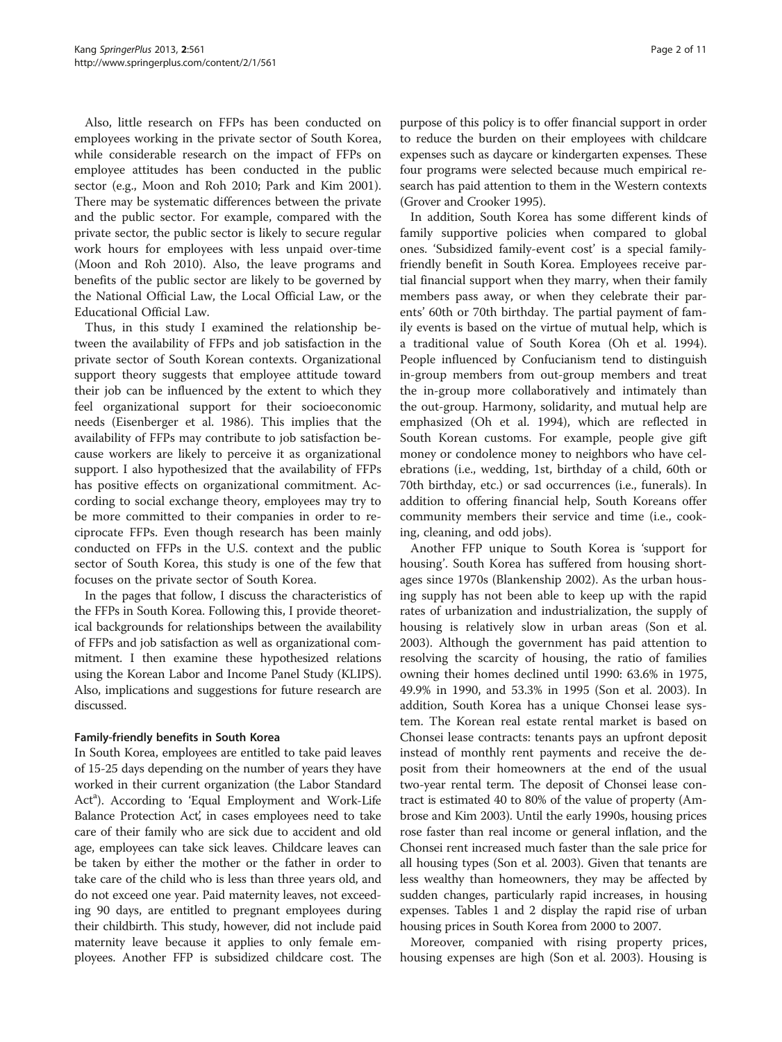Also, little research on FFPs has been conducted on employees working in the private sector of South Korea, while considerable research on the impact of FFPs on employee attitudes has been conducted in the public sector (e.g., Moon and Roh [2010](#page-9-0); Park and Kim [2001](#page-10-0)). There may be systematic differences between the private and the public sector. For example, compared with the private sector, the public sector is likely to secure regular work hours for employees with less unpaid over-time (Moon and Roh [2010\)](#page-9-0). Also, the leave programs and benefits of the public sector are likely to be governed by the National Official Law, the Local Official Law, or the Educational Official Law.

Thus, in this study I examined the relationship between the availability of FFPs and job satisfaction in the private sector of South Korean contexts. Organizational support theory suggests that employee attitude toward their job can be influenced by the extent to which they feel organizational support for their socioeconomic needs (Eisenberger et al. [1986\)](#page-9-0). This implies that the availability of FFPs may contribute to job satisfaction because workers are likely to perceive it as organizational support. I also hypothesized that the availability of FFPs has positive effects on organizational commitment. According to social exchange theory, employees may try to be more committed to their companies in order to reciprocate FFPs. Even though research has been mainly conducted on FFPs in the U.S. context and the public sector of South Korea, this study is one of the few that focuses on the private sector of South Korea.

In the pages that follow, I discuss the characteristics of the FFPs in South Korea. Following this, I provide theoretical backgrounds for relationships between the availability of FFPs and job satisfaction as well as organizational commitment. I then examine these hypothesized relations using the Korean Labor and Income Panel Study (KLIPS). Also, implications and suggestions for future research are discussed.

#### Family-friendly benefits in South Korea

In South Korea, employees are entitled to take paid leaves of 15-25 days depending on the number of years they have worked in their current organization (the Labor Standard Act<sup>a</sup>). According to 'Equal Employment and Work-Life Balance Protection Act', in cases employees need to take care of their family who are sick due to accident and old age, employees can take sick leaves. Childcare leaves can be taken by either the mother or the father in order to take care of the child who is less than three years old, and do not exceed one year. Paid maternity leaves, not exceeding 90 days, are entitled to pregnant employees during their childbirth. This study, however, did not include paid maternity leave because it applies to only female employees. Another FFP is subsidized childcare cost. The purpose of this policy is to offer financial support in order to reduce the burden on their employees with childcare expenses such as daycare or kindergarten expenses. These four programs were selected because much empirical research has paid attention to them in the Western contexts (Grover and Crooker [1995\)](#page-9-0).

In addition, South Korea has some different kinds of family supportive policies when compared to global ones. 'Subsidized family-event cost' is a special familyfriendly benefit in South Korea. Employees receive partial financial support when they marry, when their family members pass away, or when they celebrate their parents' 60th or 70th birthday. The partial payment of family events is based on the virtue of mutual help, which is a traditional value of South Korea (Oh et al. [1994](#page-9-0)). People influenced by Confucianism tend to distinguish in-group members from out-group members and treat the in-group more collaboratively and intimately than the out-group. Harmony, solidarity, and mutual help are emphasized (Oh et al. [1994](#page-9-0)), which are reflected in South Korean customs. For example, people give gift money or condolence money to neighbors who have celebrations (i.e., wedding, 1st, birthday of a child, 60th or 70th birthday, etc.) or sad occurrences (i.e., funerals). In addition to offering financial help, South Koreans offer community members their service and time (i.e., cooking, cleaning, and odd jobs).

Another FFP unique to South Korea is 'support for housing'. South Korea has suffered from housing shortages since 1970s (Blankenship [2002](#page-9-0)). As the urban housing supply has not been able to keep up with the rapid rates of urbanization and industrialization, the supply of housing is relatively slow in urban areas (Son et al. [2003](#page-10-0)). Although the government has paid attention to resolving the scarcity of housing, the ratio of families owning their homes declined until 1990: 63.6% in 1975, 49.9% in 1990, and 53.3% in 1995 (Son et al. [2003](#page-10-0)). In addition, South Korea has a unique Chonsei lease system. The Korean real estate rental market is based on Chonsei lease contracts: tenants pays an upfront deposit instead of monthly rent payments and receive the deposit from their homeowners at the end of the usual two-year rental term. The deposit of Chonsei lease contract is estimated 40 to 80% of the value of property (Ambrose and Kim [2003](#page-9-0)). Until the early 1990s, housing prices rose faster than real income or general inflation, and the Chonsei rent increased much faster than the sale price for all housing types (Son et al. [2003](#page-10-0)). Given that tenants are less wealthy than homeowners, they may be affected by sudden changes, particularly rapid increases, in housing expenses. Tables [1](#page-2-0) and [2](#page-2-0) display the rapid rise of urban housing prices in South Korea from 2000 to 2007.

Moreover, companied with rising property prices, housing expenses are high (Son et al. [2003\)](#page-10-0). Housing is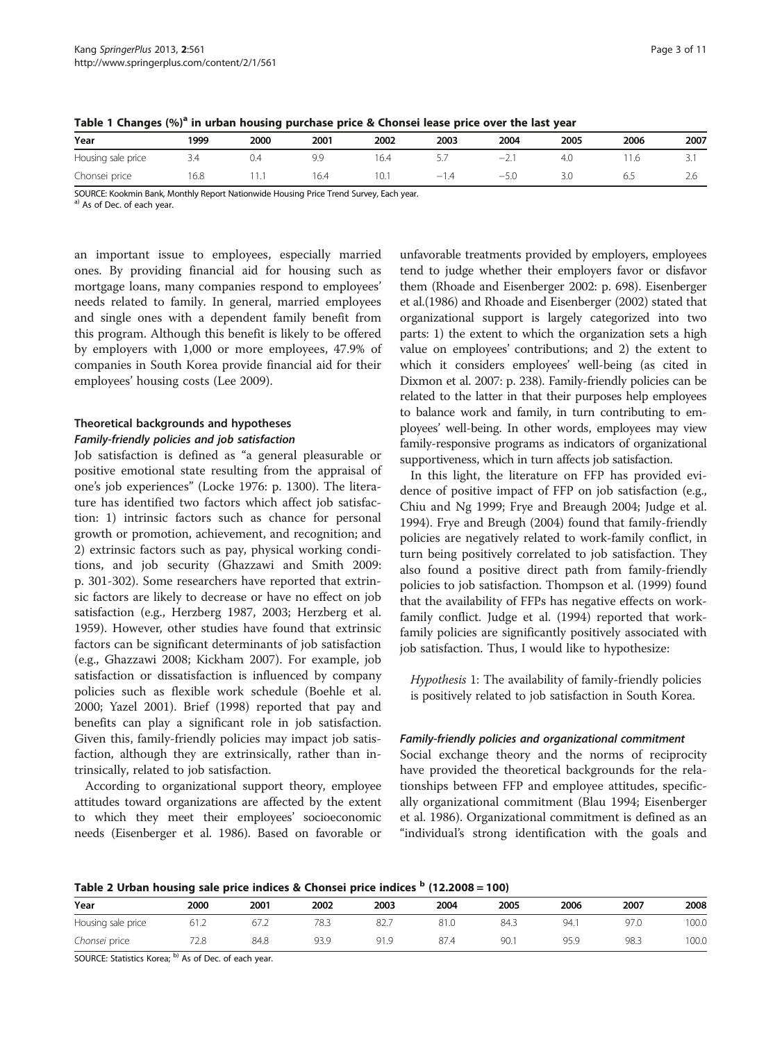| Year               | 1999 | 2000 | 2001 | 2002 | 2003   | 2004   | 2005 | 2006 | 2007     |  |  |  |
|--------------------|------|------|------|------|--------|--------|------|------|----------|--|--|--|
| Housing sale price | 3.4  | J.4  |      | 6.4  | ، ب    | $-1$   | 4.C  | 1.6  | <u>.</u> |  |  |  |
| Chonsei price      | 16.8 |      | 6.4  | 10.1 | $-1.4$ | $-5.0$ | 3.0  | 6.5  | -2.6     |  |  |  |

<span id="page-2-0"></span>Table 1 Changes  $(%)^a$  in urban housing purchase price & Chonsei lease price over the last year

SOURCE: Kookmin Bank, Monthly Report Nationwide Housing Price Trend Survey, Each year.

a) As of Dec. of each year.

an important issue to employees, especially married ones. By providing financial aid for housing such as mortgage loans, many companies respond to employees' needs related to family. In general, married employees and single ones with a dependent family benefit from this program. Although this benefit is likely to be offered by employers with 1,000 or more employees, 47.9% of companies in South Korea provide financial aid for their employees' housing costs (Lee [2009\)](#page-9-0).

# Theoretical backgrounds and hypotheses

#### Family-friendly policies and job satisfaction

Job satisfaction is defined as "a general pleasurable or positive emotional state resulting from the appraisal of one's job experiences" (Locke [1976:](#page-9-0) p. 1300). The literature has identified two factors which affect job satisfaction: 1) intrinsic factors such as chance for personal growth or promotion, achievement, and recognition; and 2) extrinsic factors such as pay, physical working conditions, and job security (Ghazzawi and Smith [2009](#page-9-0): p. 301-302). Some researchers have reported that extrinsic factors are likely to decrease or have no effect on job satisfaction (e.g., Herzberg [1987, 2003](#page-9-0); Herzberg et al. [1959](#page-9-0)). However, other studies have found that extrinsic factors can be significant determinants of job satisfaction (e.g., Ghazzawi [2008](#page-9-0); Kickham [2007\)](#page-9-0). For example, job satisfaction or dissatisfaction is influenced by company policies such as flexible work schedule (Boehle et al. [2000](#page-9-0); Yazel [2001](#page-10-0)). Brief [\(1998](#page-9-0)) reported that pay and benefits can play a significant role in job satisfaction. Given this, family-friendly policies may impact job satisfaction, although they are extrinsically, rather than intrinsically, related to job satisfaction.

According to organizational support theory, employee attitudes toward organizations are affected by the extent to which they meet their employees' socioeconomic needs (Eisenberger et al. [1986\)](#page-9-0). Based on favorable or

unfavorable treatments provided by employers, employees tend to judge whether their employers favor or disfavor them (Rhoade and Eisenberger [2002:](#page-10-0) p. 698). Eisenberger et al.([1986\)](#page-9-0) and Rhoade and Eisenberger ([2002\)](#page-10-0) stated that organizational support is largely categorized into two parts: 1) the extent to which the organization sets a high value on employees' contributions; and 2) the extent to which it considers employees' well-being (as cited in Dixmon et al. [2007:](#page-9-0) p. 238). Family-friendly policies can be related to the latter in that their purposes help employees to balance work and family, in turn contributing to employees' well-being. In other words, employees may view family-responsive programs as indicators of organizational supportiveness, which in turn affects job satisfaction.

In this light, the literature on FFP has provided evidence of positive impact of FFP on job satisfaction (e.g., Chiu and Ng [1999;](#page-9-0) Frye and Breaugh [2004;](#page-9-0) Judge et al. [1994](#page-9-0)). Frye and Breugh ([2004\)](#page-9-0) found that family-friendly policies are negatively related to work-family conflict, in turn being positively correlated to job satisfaction. They also found a positive direct path from family-friendly policies to job satisfaction. Thompson et al. ([1999\)](#page-10-0) found that the availability of FFPs has negative effects on workfamily conflict. Judge et al. [\(1994\)](#page-9-0) reported that workfamily policies are significantly positively associated with job satisfaction. Thus, I would like to hypothesize:

Hypothesis 1: The availability of family-friendly policies is positively related to job satisfaction in South Korea.

#### Family-friendly policies and organizational commitment

Social exchange theory and the norms of reciprocity have provided the theoretical backgrounds for the relationships between FFP and employee attitudes, specifically organizational commitment (Blau [1994](#page-9-0); Eisenberger et al. [1986](#page-9-0)). Organizational commitment is defined as an "individual's strong identification with the goals and

Table 2 Urban housing sale price indices & Chonsei price indices  $<sup>b</sup>$  (12.2008 = 100)</sup>

|                    | -    |      |      |      |      |      |                   |      |       |
|--------------------|------|------|------|------|------|------|-------------------|------|-------|
| Year               | 2000 | 2001 | 2002 | 2003 | 2004 | 2005 | 2006              | 2007 | 2008  |
| Housing sale price | 61.2 | 67.2 | 78.3 | 82.  | 81.0 | 84.3 | 94 1<br><b>JI</b> | 97.0 | 100.0 |
| Chonsei price      | 72.8 | 84.8 | 93.9 | 91.9 | 87.4 | 90.  | 95.9              | 98.3 | 100.0 |

SOURCE: Statistics Korea; b) As of Dec. of each year.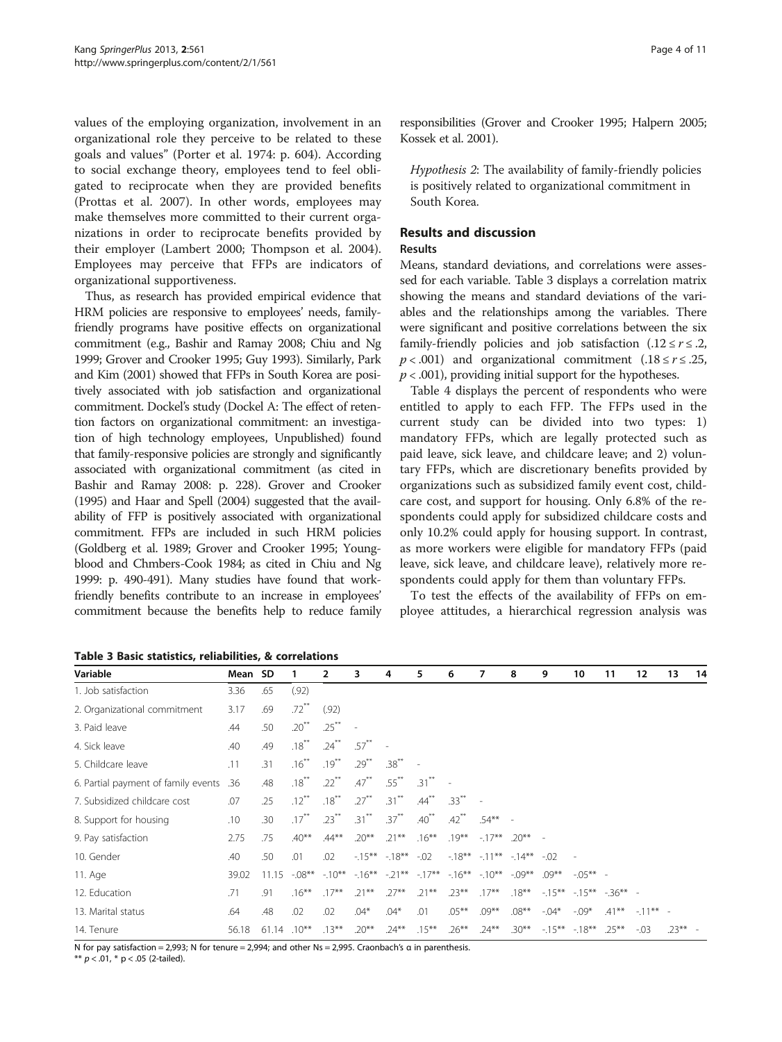values of the employing organization, involvement in an organizational role they perceive to be related to these goals and values" (Porter et al. [1974:](#page-10-0) p. 604). According to social exchange theory, employees tend to feel obligated to reciprocate when they are provided benefits (Prottas et al. [2007](#page-10-0)). In other words, employees may make themselves more committed to their current organizations in order to reciprocate benefits provided by their employer (Lambert [2000](#page-9-0); Thompson et al. [2004](#page-10-0)). Employees may perceive that FFPs are indicators of organizational supportiveness.

Thus, as research has provided empirical evidence that HRM policies are responsive to employees' needs, familyfriendly programs have positive effects on organizational commitment (e.g., Bashir and Ramay [2008;](#page-9-0) Chiu and Ng [1999;](#page-9-0) Grover and Crooker [1995](#page-9-0); Guy [1993\)](#page-9-0). Similarly, Park and Kim ([2001\)](#page-10-0) showed that FFPs in South Korea are positively associated with job satisfaction and organizational commitment. Dockel's study (Dockel A: The effect of retention factors on organizational commitment: an investigation of high technology employees, Unpublished) found that family-responsive policies are strongly and significantly associated with organizational commitment (as cited in Bashir and Ramay [2008:](#page-9-0) p. 228). Grover and Crooker ([1995\)](#page-9-0) and Haar and Spell ([2004\)](#page-9-0) suggested that the availability of FFP is positively associated with organizational commitment. FFPs are included in such HRM policies (Goldberg et al. [1989](#page-9-0); Grover and Crooker [1995](#page-9-0); Youngblood and Chmbers-Cook [1984;](#page-10-0) as cited in Chiu and Ng [1999:](#page-9-0) p. 490-491). Many studies have found that workfriendly benefits contribute to an increase in employees' commitment because the benefits help to reduce family

Table 3 Basic statistics, reliabilities, & correlations

responsibilities (Grover and Crooker [1995](#page-9-0); Halpern [2005](#page-9-0); Kossek et al. [2001\)](#page-9-0).

Hypothesis 2: The availability of family-friendly policies is positively related to organizational commitment in South Korea.

# Results and discussion

# Results

Means, standard deviations, and correlations were assessed for each variable. Table 3 displays a correlation matrix showing the means and standard deviations of the variables and the relationships among the variables. There were significant and positive correlations between the six family-friendly policies and job satisfaction  $(.12 \le r \le .2,$  $p < .001$ ) and organizational commitment (.18  $\le r \le .25$ ,  $p < .001$ ), providing initial support for the hypotheses.

Table [4](#page-4-0) displays the percent of respondents who were entitled to apply to each FFP. The FFPs used in the current study can be divided into two types: 1) mandatory FFPs, which are legally protected such as paid leave, sick leave, and childcare leave; and 2) voluntary FFPs, which are discretionary benefits provided by organizations such as subsidized family event cost, childcare cost, and support for housing. Only 6.8% of the respondents could apply for subsidized childcare costs and only 10.2% could apply for housing support. In contrast, as more workers were eligible for mandatory FFPs (paid leave, sick leave, and childcare leave), relatively more respondents could apply for them than voluntary FFPs.

To test the effects of the availability of FFPs on employee attitudes, a hierarchical regression analysis was

| Variable                            | Mean SD |       |                     | 2                   | 3        | 4                                   | 5          | 6                   | 7                          | 8        | 9        | 10          | 11                  | 12         | 13       | 14 |
|-------------------------------------|---------|-------|---------------------|---------------------|----------|-------------------------------------|------------|---------------------|----------------------------|----------|----------|-------------|---------------------|------------|----------|----|
| 1. Job satisfaction                 | 3.36    | .65   | (.92)               |                     |          |                                     |            |                     |                            |          |          |             |                     |            |          |    |
| 2. Organizational commitment        | 3.17    | .69   | $.72$ <sup>**</sup> | (.92)               |          |                                     |            |                     |                            |          |          |             |                     |            |          |    |
| 3. Paid leave                       | .44     | .50   | $.20^{**}$          | $.25***$            |          |                                     |            |                     |                            |          |          |             |                     |            |          |    |
| 4. Sick leave                       | .40     | .49   | $.18***$            | $.24***$            | $.57***$ |                                     |            |                     |                            |          |          |             |                     |            |          |    |
| 5. Childcare leave                  | .11     | .31   | $.16***$            | $.19***$            | $.29***$ | $.38***$                            |            |                     |                            |          |          |             |                     |            |          |    |
| 6. Partial payment of family events | .36     | .48   | $.18***$            | $.22$ <sup>**</sup> | $.47***$ | $.55***$                            | $.31***$   |                     |                            |          |          |             |                     |            |          |    |
| 7. Subsidized childcare cost        | .07     | .25   | $.12***$            | $.18***$            | $.27***$ | $.31***$                            | $.44***$   | $.33***$            |                            |          |          |             |                     |            |          |    |
| 8. Support for housing              | .10     | .30   | $.17***$            | $.23***$            | $.31***$ | $.37***$                            | $.40^{**}$ | $.42$ <sup>**</sup> | $.54***$                   |          |          |             |                     |            |          |    |
| 9. Pay satisfaction                 | 2.75    | .75   | $.40**$             | $.44***$            | $.20**$  | $.21***$                            | $.16***$   | $.19***$            | $-17**$                    | $.20**$  |          |             |                     |            |          |    |
| 10. Gender                          | .40     | .50   | .01                 | .02                 |          | $-15***$ $-18***$                   | $-0.02$    |                     | $-18***$ $-11***$ $-14***$ |          | $-0.02$  |             |                     |            |          |    |
| 11. Age                             | 39.02   | 11.15 | $-08**$             | $-10***$            |          | $-16***$ $-21***$ $-17***$ $-16***$ |            |                     | $-10***$                   | $-09**$  | $.09***$ | $-0.5***$ - |                     |            |          |    |
| 12. Education                       | .71     | .91   | $.16***$            | $.17***$            | $.21***$ | $.27***$                            | $.21***$   | $.23***$            | $.17***$                   | $.18***$ | $-15***$ |             | $-15***$ $-36***$ - |            |          |    |
| 13. Marital status                  | .64     | .48   | .02                 | .02                 | $.04*$   | $.04*$                              | .01        | $.05***$            | $.09***$                   | $.08***$ | $-.04*$  | $-0.09*$    | $.41***$            | $-11***$ - |          |    |
| 14. Tenure                          | 56.18   | 61.14 | $.10***$            | $.13***$            | $.20***$ | $.24***$                            | $.15***$   | $.26***$            | $.24***$                   | $.30**$  | $-15***$ | $-18***$    | $.25***$            | $-0.03$    | $.23***$ |    |

N for pay satisfaction = 2,993; N for tenure = 2,994; and other Ns = 2,995. Craonbach's α in parenthesis.

\*\*  $p < .01$ , \*  $p < .05$  (2-tailed).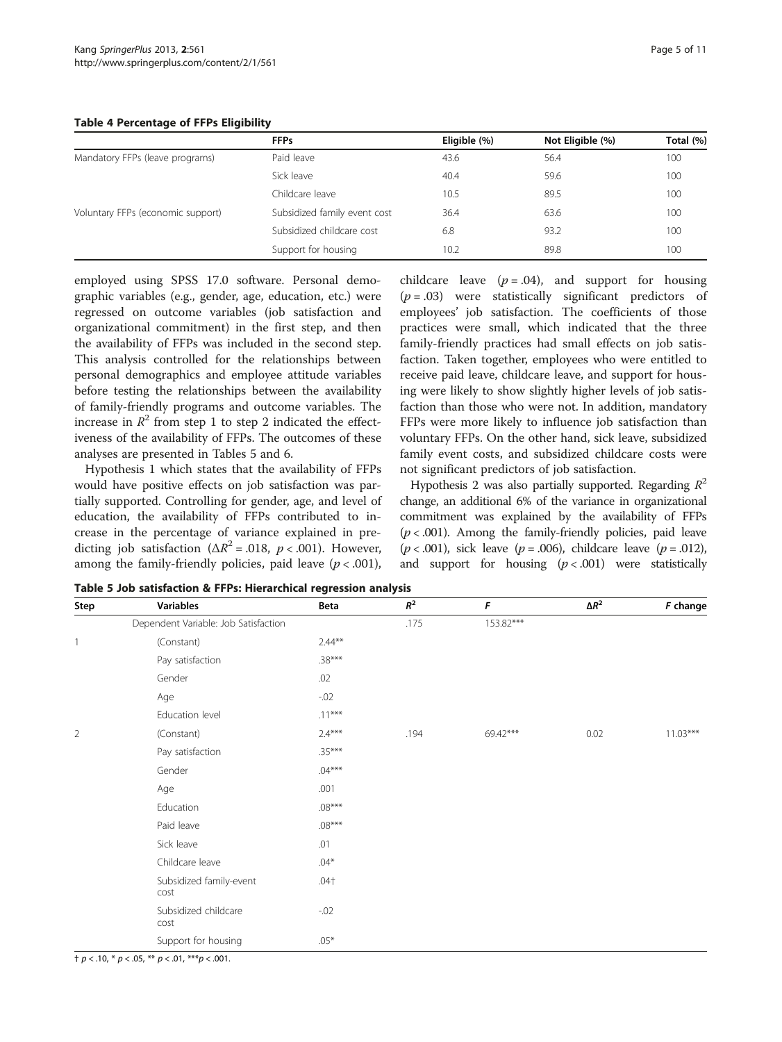#### <span id="page-4-0"></span>Table 4 Percentage of FFPs Eligibility

|                                   | <b>FFPs</b>                  | Eligible (%) | Not Eligible (%) | Total (%) |
|-----------------------------------|------------------------------|--------------|------------------|-----------|
| Mandatory FFPs (leave programs)   | Paid leave                   | 43.6         | 56.4             | 100       |
|                                   | Sick leave                   | 40.4         | 59.6             | 100       |
|                                   | Childcare leave              | 10.5         | 89.5             | 100       |
| Voluntary FFPs (economic support) | Subsidized family event cost | 36.4         | 63.6             | 100       |
|                                   | Subsidized childcare cost    | 6.8          | 93.2             | 100       |
|                                   | Support for housing          | 10.2         | 89.8             | 100       |

employed using SPSS 17.0 software. Personal demographic variables (e.g., gender, age, education, etc.) were regressed on outcome variables (job satisfaction and organizational commitment) in the first step, and then the availability of FFPs was included in the second step. This analysis controlled for the relationships between personal demographics and employee attitude variables before testing the relationships between the availability of family-friendly programs and outcome variables. The increase in  $\mathbb{R}^2$  from step 1 to step 2 indicated the effectiveness of the availability of FFPs. The outcomes of these analyses are presented in Tables 5 and [6](#page-5-0).

Hypothesis 1 which states that the availability of FFPs would have positive effects on job satisfaction was partially supported. Controlling for gender, age, and level of education, the availability of FFPs contributed to increase in the percentage of variance explained in predicting job satisfaction ( $\Delta R^2$  = .018, *p* < .001). However, among the family-friendly policies, paid leave ( $p < .001$ ),

childcare leave  $(p = .04)$ , and support for housing  $(p=.03)$  were statistically significant predictors of employees' job satisfaction. The coefficients of those practices were small, which indicated that the three family-friendly practices had small effects on job satisfaction. Taken together, employees who were entitled to receive paid leave, childcare leave, and support for housing were likely to show slightly higher levels of job satisfaction than those who were not. In addition, mandatory FFPs were more likely to influence job satisfaction than voluntary FFPs. On the other hand, sick leave, subsidized family event costs, and subsidized childcare costs were not significant predictors of job satisfaction.

Hypothesis 2 was also partially supported. Regarding  $R^2$ change, an additional 6% of the variance in organizational commitment was explained by the availability of FFPs  $(p < .001)$ . Among the family-friendly policies, paid leave  $(p < .001)$ , sick leave  $(p = .006)$ , childcare leave  $(p = .012)$ , and support for housing  $(p < .001)$  were statistically

| Step           | <b>Variables</b>                     | Beta      | $R^2$ | F         | $\Delta R^2$ | F change   |
|----------------|--------------------------------------|-----------|-------|-----------|--------------|------------|
|                | Dependent Variable: Job Satisfaction |           | .175  | 153.82*** |              |            |
| $\mathbf{1}$   | (Constant)                           | $2.44***$ |       |           |              |            |
|                | Pay satisfaction                     | $.38***$  |       |           |              |            |
|                | Gender                               | .02       |       |           |              |            |
|                | Age                                  | $-0.02$   |       |           |              |            |
|                | Education level                      | $.11***$  |       |           |              |            |
| $\overline{2}$ | (Constant)                           | $2.4***$  | .194  | 69.42***  | 0.02         | $11.03***$ |
|                | Pay satisfaction                     | $.35***$  |       |           |              |            |
|                | Gender                               | $.04***$  |       |           |              |            |
|                | Age                                  | .001      |       |           |              |            |
|                | Education                            | $.08***$  |       |           |              |            |
|                | Paid leave                           | $.08***$  |       |           |              |            |
|                | Sick leave                           | .01       |       |           |              |            |
|                | Childcare leave                      | $.04*$    |       |           |              |            |
|                | Subsidized family-event<br>cost      | $.04+$    |       |           |              |            |
|                | Subsidized childcare<br>cost         | $-.02$    |       |           |              |            |
|                | Support for housing                  | $.05*$    |       |           |              |            |

Table 5 Job satisfaction & FFPs: Hierarchical regression analysis

 $\uparrow p < .10, * p < .05, ** p < .01, ** p < .001.$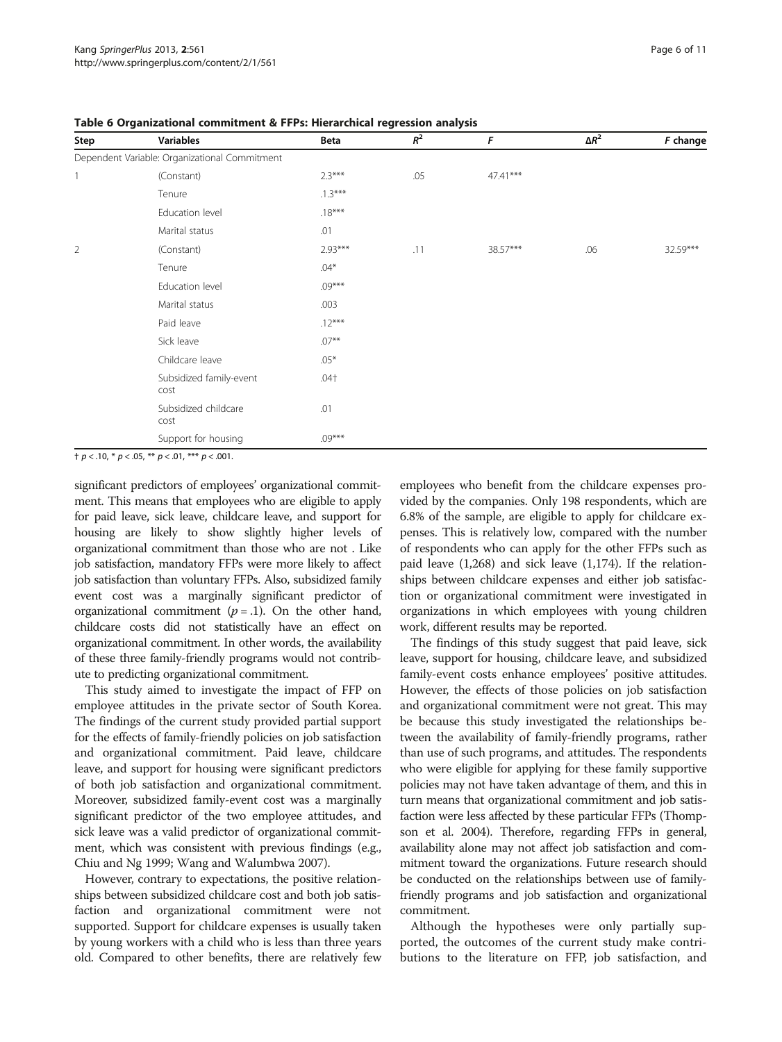| Step | <b>Variables</b>                              | Beta      | $\ensuremath{\mathnormal{R}}^2$ | F        | $\Delta R^2$ | F change |
|------|-----------------------------------------------|-----------|---------------------------------|----------|--------------|----------|
|      | Dependent Variable: Organizational Commitment |           |                                 |          |              |          |
|      | (Constant)                                    | $2.3***$  | .05                             | 47.41*** |              |          |
|      | Tenure                                        | $.1.3***$ |                                 |          |              |          |
|      | Education level                               | $.18***$  |                                 |          |              |          |
|      | Marital status                                | .01       |                                 |          |              |          |
| 2    | (Constant)                                    | $2.93***$ | .11                             | 38.57*** | .06          | 32.59*** |
|      | Tenure                                        | $.04*$    |                                 |          |              |          |
|      | Education level                               | $.09***$  |                                 |          |              |          |
|      | Marital status                                | .003      |                                 |          |              |          |
|      | Paid leave                                    | $.12***$  |                                 |          |              |          |
|      | Sick leave                                    | $.07***$  |                                 |          |              |          |
|      | Childcare leave                               | $.05*$    |                                 |          |              |          |
|      | Subsidized family-event<br>cost               | $.04+$    |                                 |          |              |          |
|      | Subsidized childcare<br>cost                  | .01       |                                 |          |              |          |
|      | Support for housing                           | $.09***$  |                                 |          |              |          |

<span id="page-5-0"></span>Table 6 Organizational commitment & FFPs: Hierarchical regression analysis

† p < .10, \* p < .05, \*\* p < .01, \*\*\* p < .001.

significant predictors of employees' organizational commitment. This means that employees who are eligible to apply for paid leave, sick leave, childcare leave, and support for housing are likely to show slightly higher levels of organizational commitment than those who are not . Like job satisfaction, mandatory FFPs were more likely to affect job satisfaction than voluntary FFPs. Also, subsidized family event cost was a marginally significant predictor of organizational commitment  $(p = .1)$ . On the other hand, childcare costs did not statistically have an effect on organizational commitment. In other words, the availability of these three family-friendly programs would not contribute to predicting organizational commitment.

This study aimed to investigate the impact of FFP on employee attitudes in the private sector of South Korea. The findings of the current study provided partial support for the effects of family-friendly policies on job satisfaction and organizational commitment. Paid leave, childcare leave, and support for housing were significant predictors of both job satisfaction and organizational commitment. Moreover, subsidized family-event cost was a marginally significant predictor of the two employee attitudes, and sick leave was a valid predictor of organizational commitment, which was consistent with previous findings (e.g., Chiu and Ng [1999;](#page-9-0) Wang and Walumbwa [2007](#page-10-0)).

However, contrary to expectations, the positive relationships between subsidized childcare cost and both job satisfaction and organizational commitment were not supported. Support for childcare expenses is usually taken by young workers with a child who is less than three years old. Compared to other benefits, there are relatively few

employees who benefit from the childcare expenses provided by the companies. Only 198 respondents, which are 6.8% of the sample, are eligible to apply for childcare expenses. This is relatively low, compared with the number of respondents who can apply for the other FFPs such as paid leave (1,268) and sick leave (1,174). If the relationships between childcare expenses and either job satisfaction or organizational commitment were investigated in organizations in which employees with young children work, different results may be reported.

The findings of this study suggest that paid leave, sick leave, support for housing, childcare leave, and subsidized family-event costs enhance employees' positive attitudes. However, the effects of those policies on job satisfaction and organizational commitment were not great. This may be because this study investigated the relationships between the availability of family-friendly programs, rather than use of such programs, and attitudes. The respondents who were eligible for applying for these family supportive policies may not have taken advantage of them, and this in turn means that organizational commitment and job satisfaction were less affected by these particular FFPs (Thompson et al. [2004](#page-10-0)). Therefore, regarding FFPs in general, availability alone may not affect job satisfaction and commitment toward the organizations. Future research should be conducted on the relationships between use of familyfriendly programs and job satisfaction and organizational commitment.

Although the hypotheses were only partially supported, the outcomes of the current study make contributions to the literature on FFP, job satisfaction, and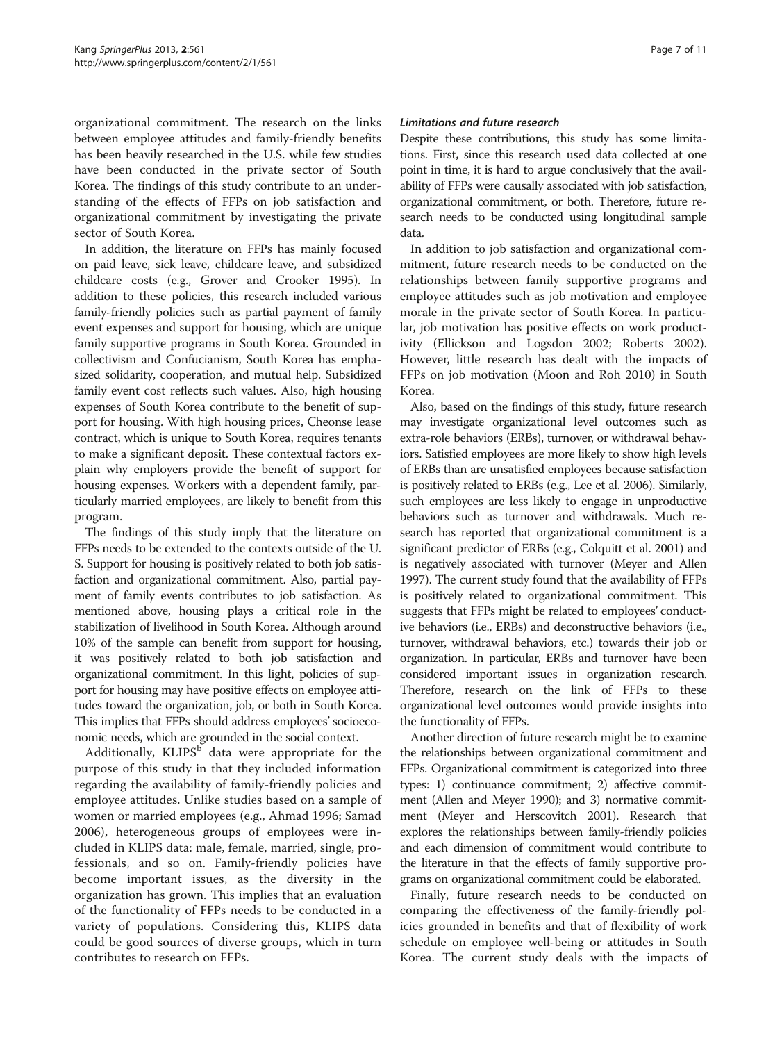organizational commitment. The research on the links between employee attitudes and family-friendly benefits has been heavily researched in the U.S. while few studies have been conducted in the private sector of South Korea. The findings of this study contribute to an understanding of the effects of FFPs on job satisfaction and organizational commitment by investigating the private sector of South Korea.

In addition, the literature on FFPs has mainly focused on paid leave, sick leave, childcare leave, and subsidized childcare costs (e.g., Grover and Crooker [1995\)](#page-9-0). In addition to these policies, this research included various family-friendly policies such as partial payment of family event expenses and support for housing, which are unique family supportive programs in South Korea. Grounded in collectivism and Confucianism, South Korea has emphasized solidarity, cooperation, and mutual help. Subsidized family event cost reflects such values. Also, high housing expenses of South Korea contribute to the benefit of support for housing. With high housing prices, Cheonse lease contract, which is unique to South Korea, requires tenants to make a significant deposit. These contextual factors explain why employers provide the benefit of support for housing expenses. Workers with a dependent family, particularly married employees, are likely to benefit from this program.

The findings of this study imply that the literature on FFPs needs to be extended to the contexts outside of the U. S. Support for housing is positively related to both job satisfaction and organizational commitment. Also, partial payment of family events contributes to job satisfaction. As mentioned above, housing plays a critical role in the stabilization of livelihood in South Korea. Although around 10% of the sample can benefit from support for housing, it was positively related to both job satisfaction and organizational commitment. In this light, policies of support for housing may have positive effects on employee attitudes toward the organization, job, or both in South Korea. This implies that FFPs should address employees' socioeconomic needs, which are grounded in the social context.

Additionally,  $KLIPS<sup>b</sup>$  data were appropriate for the purpose of this study in that they included information regarding the availability of family-friendly policies and employee attitudes. Unlike studies based on a sample of women or married employees (e.g., Ahmad [1996;](#page-9-0) Samad [2006\)](#page-10-0), heterogeneous groups of employees were included in KLIPS data: male, female, married, single, professionals, and so on. Family-friendly policies have become important issues, as the diversity in the organization has grown. This implies that an evaluation of the functionality of FFPs needs to be conducted in a variety of populations. Considering this, KLIPS data could be good sources of diverse groups, which in turn contributes to research on FFPs.

#### Limitations and future research

Despite these contributions, this study has some limitations. First, since this research used data collected at one point in time, it is hard to argue conclusively that the availability of FFPs were causally associated with job satisfaction, organizational commitment, or both. Therefore, future research needs to be conducted using longitudinal sample data.

In addition to job satisfaction and organizational commitment, future research needs to be conducted on the relationships between family supportive programs and employee attitudes such as job motivation and employee morale in the private sector of South Korea. In particular, job motivation has positive effects on work productivity (Ellickson and Logsdon [2002;](#page-9-0) Roberts [2002](#page-10-0)). However, little research has dealt with the impacts of FFPs on job motivation (Moon and Roh [2010](#page-9-0)) in South Korea.

Also, based on the findings of this study, future research may investigate organizational level outcomes such as extra-role behaviors (ERBs), turnover, or withdrawal behaviors. Satisfied employees are more likely to show high levels of ERBs than are unsatisfied employees because satisfaction is positively related to ERBs (e.g., Lee et al. [2006](#page-9-0)). Similarly, such employees are less likely to engage in unproductive behaviors such as turnover and withdrawals. Much research has reported that organizational commitment is a significant predictor of ERBs (e.g., Colquitt et al. [2001\)](#page-9-0) and is negatively associated with turnover (Meyer and Allen [1997\)](#page-9-0). The current study found that the availability of FFPs is positively related to organizational commitment. This suggests that FFPs might be related to employees' conductive behaviors (i.e., ERBs) and deconstructive behaviors (i.e., turnover, withdrawal behaviors, etc.) towards their job or organization. In particular, ERBs and turnover have been considered important issues in organization research. Therefore, research on the link of FFPs to these organizational level outcomes would provide insights into the functionality of FFPs.

Another direction of future research might be to examine the relationships between organizational commitment and FFPs. Organizational commitment is categorized into three types: 1) continuance commitment; 2) affective commitment (Allen and Meyer [1990\)](#page-9-0); and 3) normative commitment (Meyer and Herscovitch [2001\)](#page-9-0). Research that explores the relationships between family-friendly policies and each dimension of commitment would contribute to the literature in that the effects of family supportive programs on organizational commitment could be elaborated.

Finally, future research needs to be conducted on comparing the effectiveness of the family-friendly policies grounded in benefits and that of flexibility of work schedule on employee well-being or attitudes in South Korea. The current study deals with the impacts of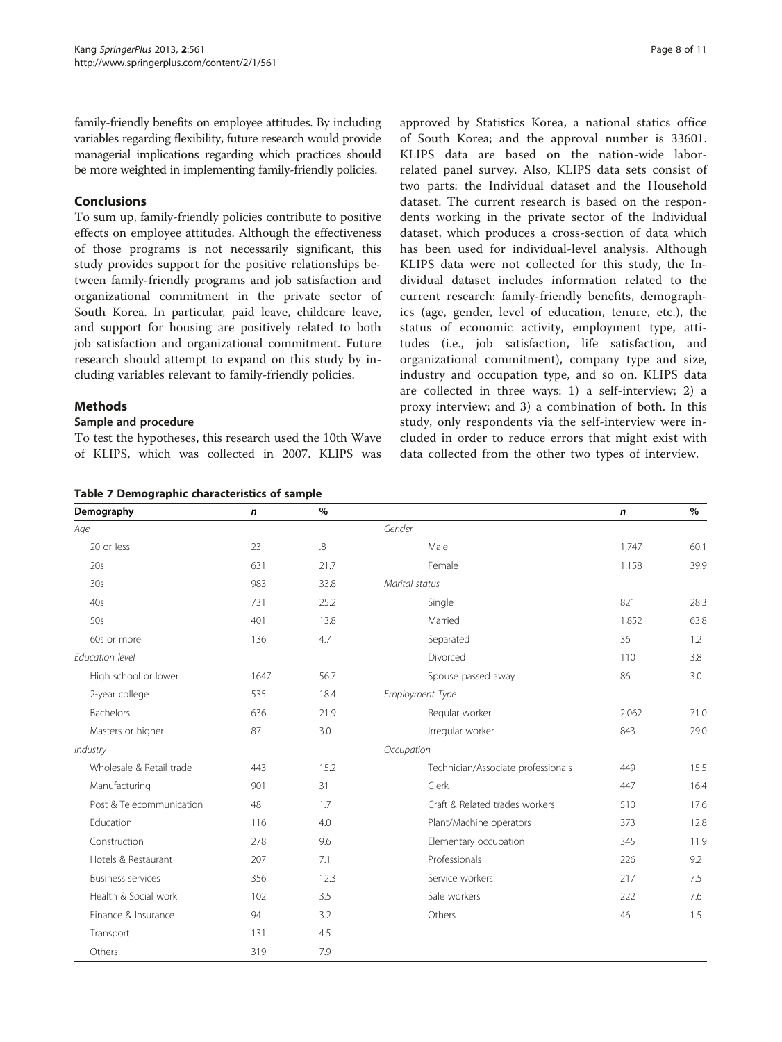<span id="page-7-0"></span>family-friendly benefits on employee attitudes. By including variables regarding flexibility, future research would provide managerial implications regarding which practices should be more weighted in implementing family-friendly policies.

#### Conclusions

To sum up, family-friendly policies contribute to positive effects on employee attitudes. Although the effectiveness of those programs is not necessarily significant, this study provides support for the positive relationships between family-friendly programs and job satisfaction and organizational commitment in the private sector of South Korea. In particular, paid leave, childcare leave, and support for housing are positively related to both job satisfaction and organizational commitment. Future research should attempt to expand on this study by including variables relevant to family-friendly policies.

#### Methods

#### Sample and procedure

To test the hypotheses, this research used the 10th Wave of KLIPS, which was collected in 2007. KLIPS was

Table 7 Demographic characteristics of sample

approved by Statistics Korea, a national statics office of South Korea; and the approval number is 33601. KLIPS data are based on the nation-wide laborrelated panel survey. Also, KLIPS data sets consist of two parts: the Individual dataset and the Household dataset. The current research is based on the respondents working in the private sector of the Individual dataset, which produces a cross-section of data which has been used for individual-level analysis. Although KLIPS data were not collected for this study, the Individual dataset includes information related to the current research: family-friendly benefits, demographics (age, gender, level of education, tenure, etc.), the status of economic activity, employment type, attitudes (i.e., job satisfaction, life satisfaction, and organizational commitment), company type and size, industry and occupation type, and so on. KLIPS data are collected in three ways: 1) a self-interview; 2) a proxy interview; and 3) a combination of both. In this study, only respondents via the self-interview were included in order to reduce errors that might exist with data collected from the other two types of interview.

| Demography               | n    | $\%$        |                                    | n     | $\%$ |
|--------------------------|------|-------------|------------------------------------|-------|------|
| Age                      |      |             | Gender                             |       |      |
| 20 or less               | 23   | $8^{\circ}$ | Male                               | 1.747 | 60.1 |
| 20s                      | 631  | 21.7        | Female                             | 1,158 | 39.9 |
| 30s                      | 983  | 33.8        | Marital status                     |       |      |
| 40s                      | 731  | 25.2        | Single                             | 821   | 28.3 |
| 50s                      | 401  | 13.8        | Married                            | 1,852 | 63.8 |
| 60s or more              | 136  | 4.7         | Separated                          | 36    | 1.2  |
| Education level          |      |             | Divorced                           | 110   | 3.8  |
| High school or lower     | 1647 | 56.7        | Spouse passed away                 | 86    | 3.0  |
| 2-year college           | 535  | 18.4        | Employment Type                    |       |      |
| Bachelors                | 636  | 21.9        | Regular worker                     | 2,062 | 71.0 |
| Masters or higher        | 87   | 3.0         | Irregular worker                   | 843   | 29.0 |
| Industry                 |      |             | Occupation                         |       |      |
| Wholesale & Retail trade | 443  | 15.2        | Technician/Associate professionals | 449   | 15.5 |
| Manufacturing            | 901  | 31          | Clerk                              | 447   | 16.4 |
| Post & Telecommunication | 48   | 1.7         | Craft & Related trades workers     | 510   | 17.6 |
| Education                | 116  | 4.0         | Plant/Machine operators            | 373   | 12.8 |
| Construction             | 278  | 9.6         | Elementary occupation              | 345   | 11.9 |
| Hotels & Restaurant      | 207  | 7.1         | Professionals                      | 226   | 9.2  |
| <b>Business services</b> | 356  | 12.3        | Service workers                    | 217   | 7.5  |
| Health & Social work     | 102  | 3.5         | Sale workers                       | 222   | 7.6  |
| Finance & Insurance      | 94   | 3.2         | Others                             | 46    | 1.5  |
| Transport                | 131  | 4.5         |                                    |       |      |
| Others                   | 319  | 7.9         |                                    |       |      |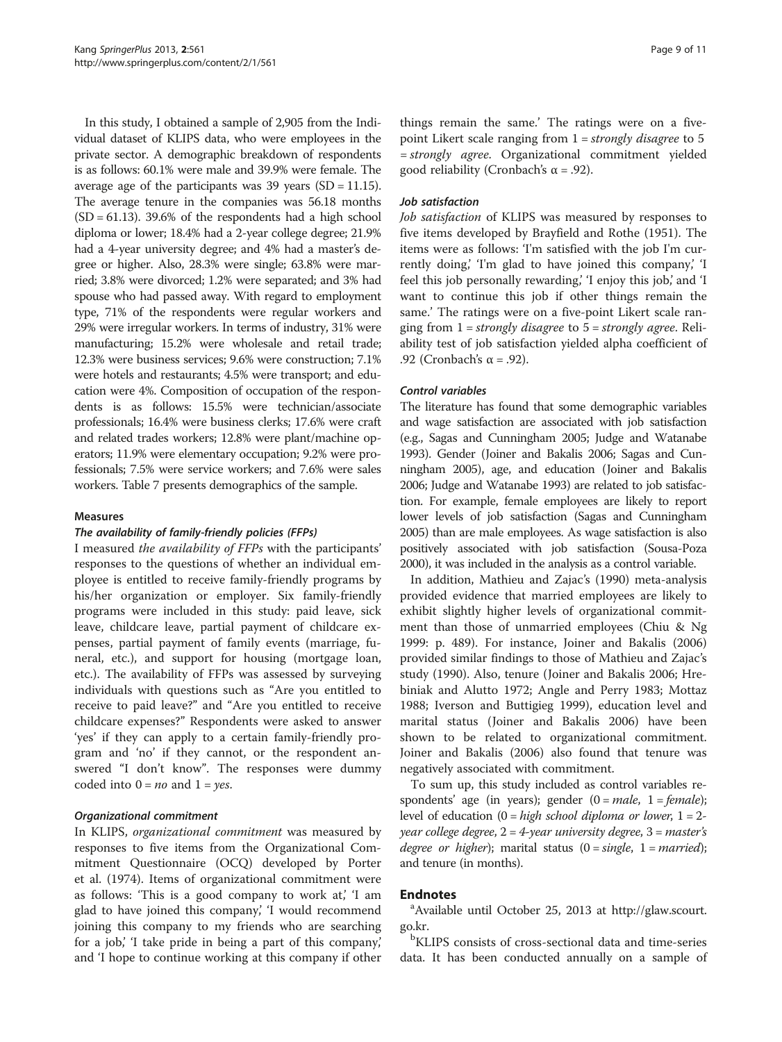In this study, I obtained a sample of 2,905 from the Individual dataset of KLIPS data, who were employees in the private sector. A demographic breakdown of respondents is as follows: 60.1% were male and 39.9% were female. The average age of the participants was  $39$  years (SD = 11.15). The average tenure in the companies was 56.18 months  $(SD = 61.13)$ . 39.6% of the respondents had a high school diploma or lower; 18.4% had a 2-year college degree; 21.9% had a 4-year university degree; and 4% had a master's degree or higher. Also, 28.3% were single; 63.8% were married; 3.8% were divorced; 1.2% were separated; and 3% had spouse who had passed away. With regard to employment type, 71% of the respondents were regular workers and 29% were irregular workers. In terms of industry, 31% were manufacturing; 15.2% were wholesale and retail trade; 12.3% were business services; 9.6% were construction; 7.1% were hotels and restaurants; 4.5% were transport; and education were 4%. Composition of occupation of the respondents is as follows: 15.5% were technician/associate professionals; 16.4% were business clerks; 17.6% were craft and related trades workers; 12.8% were plant/machine operators; 11.9% were elementary occupation; 9.2% were professionals; 7.5% were service workers; and 7.6% were sales workers. Table [7](#page-7-0) presents demographics of the sample.

#### Measures

#### The availability of family-friendly policies (FFPs)

I measured the availability of FFPs with the participants' responses to the questions of whether an individual employee is entitled to receive family-friendly programs by his/her organization or employer. Six family-friendly programs were included in this study: paid leave, sick leave, childcare leave, partial payment of childcare expenses, partial payment of family events (marriage, funeral, etc.), and support for housing (mortgage loan, etc.). The availability of FFPs was assessed by surveying individuals with questions such as "Are you entitled to receive to paid leave?" and "Are you entitled to receive childcare expenses?" Respondents were asked to answer 'yes' if they can apply to a certain family-friendly program and 'no' if they cannot, or the respondent answered "I don't know". The responses were dummy coded into  $0 = no$  and  $1 = yes$ .

#### Organizational commitment

In KLIPS, organizational commitment was measured by responses to five items from the Organizational Commitment Questionnaire (OCQ) developed by Porter et al. ([1974](#page-10-0)). Items of organizational commitment were as follows: 'This is a good company to work at,' 'I am glad to have joined this company,' 'I would recommend joining this company to my friends who are searching for a job,' 'I take pride in being a part of this company,' and 'I hope to continue working at this company if other things remain the same.' The ratings were on a fivepoint Likert scale ranging from  $1 =$  strongly disagree to 5 = strongly agree. Organizational commitment yielded good reliability (Cronbach's  $\alpha$  = .92).

#### Job satisfaction

Job satisfaction of KLIPS was measured by responses to five items developed by Brayfield and Rothe [\(1951\)](#page-9-0). The items were as follows: 'I'm satisfied with the job I'm currently doing,' 'I'm glad to have joined this company,' 'I feel this job personally rewarding, 'I enjoy this job,' and 'I want to continue this job if other things remain the same.' The ratings were on a five-point Likert scale ranging from  $1 = strongly disagree$  to  $5 = strongly agree$ . Reliability test of job satisfaction yielded alpha coefficient of .92 (Cronbach's α = .92).

#### Control variables

The literature has found that some demographic variables and wage satisfaction are associated with job satisfaction (e.g., Sagas and Cunningham [2005;](#page-10-0) Judge and Watanabe [1993\)](#page-9-0). Gender (Joiner and Bakalis [2006](#page-9-0); Sagas and Cunningham [2005\)](#page-10-0), age, and education (Joiner and Bakalis [2006;](#page-9-0) Judge and Watanabe [1993\)](#page-9-0) are related to job satisfaction. For example, female employees are likely to report lower levels of job satisfaction (Sagas and Cunningham [2005\)](#page-10-0) than are male employees. As wage satisfaction is also positively associated with job satisfaction (Sousa-Poza [2000\)](#page-10-0), it was included in the analysis as a control variable.

In addition, Mathieu and Zajac's ([1990](#page-9-0)) meta-analysis provided evidence that married employees are likely to exhibit slightly higher levels of organizational commitment than those of unmarried employees (Chiu & Ng 1999: p. 489). For instance, Joiner and Bakalis ([2006](#page-9-0)) provided similar findings to those of Mathieu and Zajac's study ([1990](#page-9-0)). Also, tenure (Joiner and Bakalis [2006](#page-9-0); Hrebiniak and Alutto [1972](#page-9-0); Angle and Perry [1983;](#page-9-0) Mottaz [1988](#page-9-0); Iverson and Buttigieg [1999\)](#page-9-0), education level and marital status (Joiner and Bakalis [2006\)](#page-9-0) have been shown to be related to organizational commitment. Joiner and Bakalis ([2006](#page-9-0)) also found that tenure was negatively associated with commitment.

To sum up, this study included as control variables respondents' age (in years); gender  $(0 = male, 1 = female);$ level of education  $(0 = high school diploma or lower, 1 = 2$ year college degree,  $2 = 4$ -year university degree,  $3 =$  master's degree or higher); marital status  $(0 = single, 1 = married);$ and tenure (in months).

#### **Endnotes**

Available until October 25, 2013 at [http://glaw.scourt.](http://glaw.scourt.go.kr/) [go.kr.](http://glaw.scourt.go.kr/)

<sup>b</sup>KLIPS consists of cross-sectional data and time-series data. It has been conducted annually on a sample of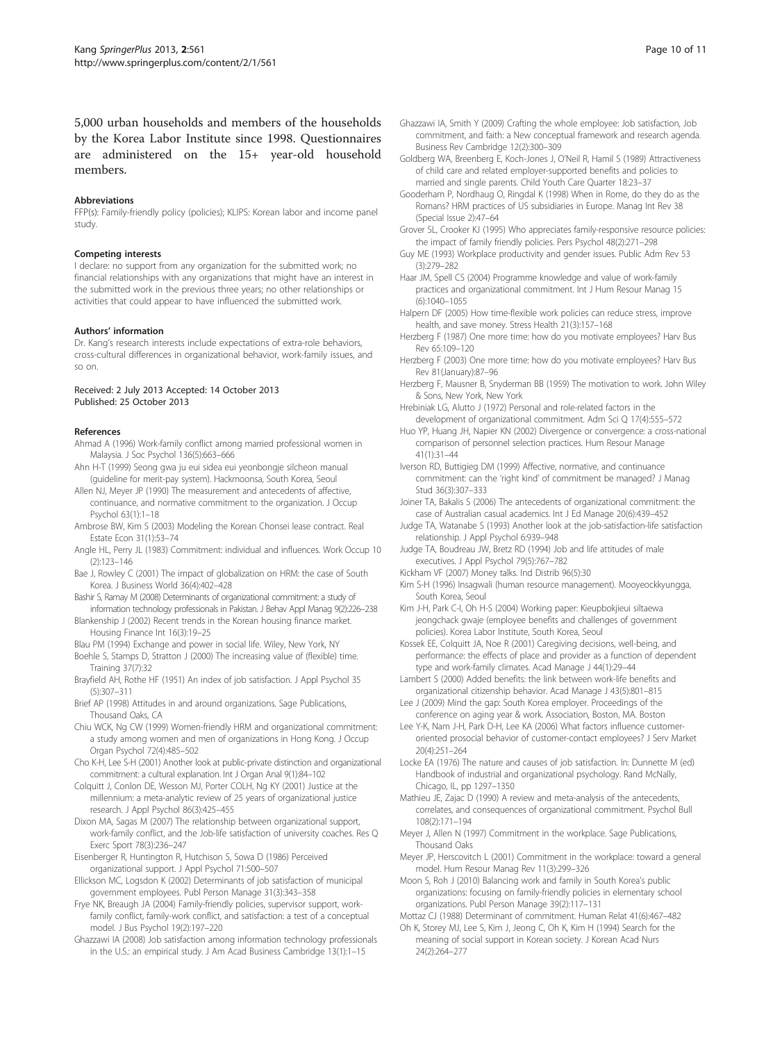### <span id="page-9-0"></span>5,000 urban households and members of the households by the Korea Labor Institute since 1998. Questionnaires are administered on the 15+ year-old household members.

#### Abbreviations

FFP(s): Family-friendly policy (policies); KLIPS: Korean labor and income panel study.

#### Competing interests

I declare: no support from any organization for the submitted work; no financial relationships with any organizations that might have an interest in the submitted work in the previous three years; no other relationships or activities that could appear to have influenced the submitted work.

#### Authors' information

Dr. Kang's research interests include expectations of extra-role behaviors, cross-cultural differences in organizational behavior, work-family issues, and so on.

#### Received: 2 July 2013 Accepted: 14 October 2013 Published: 25 October 2013

#### References

- Ahmad A (1996) Work-family conflict among married professional women in Malaysia. J Soc Psychol 136(5):663–666
- Ahn H-T (1999) Seong gwa ju eui sidea eui yeonbongje silcheon manual (guideline for merit-pay system). Hackmoonsa, South Korea, Seoul
- Allen NJ, Meyer JP (1990) The measurement and antecedents of affective, continuance, and normative commitment to the organization. J Occup Psychol 63(1):1–18
- Ambrose BW, Kim S (2003) Modeling the Korean Chonsei lease contract. Real Estate Econ 31(1):53–74
- Angle HL, Perry JL (1983) Commitment: individual and influences. Work Occup 10 (2):123–146
- Bae J, Rowley C (2001) The impact of globalization on HRM: the case of South Korea. J Business World 36(4):402–428
- Bashir S, Ramay M (2008) Determinants of organizational commitment: a study of information technology professionals in Pakistan. J Behav Appl Manag 9(2):226–238
- Blankenship J (2002) Recent trends in the Korean housing finance market. Housing Finance Int 16(3):19–25
- Blau PM (1994) Exchange and power in social life. Wiley, New York, NY Boehle S, Stamps D, Stratton J (2000) The increasing value of (flexible) time. Training 37(7):32
- Brayfield AH, Rothe HF (1951) An index of job satisfaction. J Appl Psychol 35 (5):307–311
- Brief AP (1998) Attitudes in and around organizations. Sage Publications, Thousand Oaks, CA
- Chiu WCK, Ng CW (1999) Women-friendly HRM and organizational commitment: a study among women and men of organizations in Hong Kong. J Occup Organ Psychol 72(4):485–502
- Cho K-H, Lee S-H (2001) Another look at public-private distinction and organizational commitment: a cultural explanation. Int J Organ Anal 9(1):84–102
- Colquitt J, Conlon DE, Wesson MJ, Porter COLH, Ng KY (2001) Justice at the millennium: a meta-analytic review of 25 years of organizational justice research. J Appl Psychol 86(3):425–455
- Dixon MA, Sagas M (2007) The relationship between organizational support, work-family conflict, and the Job-life satisfaction of university coaches. Res Q Exerc Sport 78(3):236–247
- Eisenberger R, Huntington R, Hutchison S, Sowa D (1986) Perceived organizational support. J Appl Psychol 71:500–507
- Ellickson MC, Logsdon K (2002) Determinants of job satisfaction of municipal government employees. Publ Person Manage 31(3):343–358
- Frye NK, Breaugh JA (2004) Family-friendly policies, supervisor support, workfamily conflict, family-work conflict, and satisfaction: a test of a conceptual model. J Bus Psychol 19(2):197–220
- Ghazzawi IA (2008) Job satisfaction among information technology professionals in the U.S.: an empirical study. J Am Acad Business Cambridge 13(1):1–15
- Ghazzawi IA, Smith Y (2009) Crafting the whole employee: Job satisfaction, Job commitment, and faith: a New conceptual framework and research agenda. Business Rev Cambridge 12(2):300–309
- Goldberg WA, Breenberg E, Koch-Jones J, O'Neil R, Hamil S (1989) Attractiveness of child care and related employer-supported benefits and policies to married and single parents. Child Youth Care Quarter 18:23–37
- Gooderham P, Nordhaug O, Ringdal K (1998) When in Rome, do they do as the Romans? HRM practices of US subsidiaries in Europe. Manag Int Rev 38 (Special Issue 2):47–64
- Grover SL, Crooker KJ (1995) Who appreciates family-responsive resource policies: the impact of family friendly policies. Pers Psychol 48(2):271–298
- Guy ME (1993) Workplace productivity and gender issues. Public Adm Rev 53 (3):279–282

Haar JM, Spell CS (2004) Programme knowledge and value of work-family practices and organizational commitment. Int J Hum Resour Manag 15 (6):1040–1055

- Halpern DF (2005) How time-flexible work policies can reduce stress, improve health, and save money. Stress Health 21(3):157–168
- Herzberg F (1987) One more time: how do you motivate employees? Harv Bus Rev 65:109–120
- Herzberg F (2003) One more time: how do you motivate employees? Harv Bus Rev 81(January):87–96
- Herzberg F, Mausner B, Snyderman BB (1959) The motivation to work. John Wiley & Sons, New York, New York
- Hrebiniak LG, Alutto J (1972) Personal and role-related factors in the development of organizational commitment. Adm Sci Q 17(4):555–572
- Huo YP, Huang JH, Napier KN (2002) Divergence or convergence: a cross-national comparison of personnel selection practices. Hum Resour Manage 41(1):31–44
- Iverson RD, Buttigieg DM (1999) Affective, normative, and continuance commitment: can the 'right kind' of commitment be managed? J Manag Stud 36(3):307–333
- Joiner TA, Bakalis S (2006) The antecedents of organizational commitment: the case of Australian casual academics. Int J Ed Manage 20(6):439–452
- Judge TA, Watanabe S (1993) Another look at the job-satisfaction-life satisfaction relationship. J Appl Psychol 6:939–948
- Judge TA, Boudreau JW, Bretz RD (1994) Job and life attitudes of male executives. J Appl Psychol 79(5):767–782
- Kickham VF (2007) Money talks. Ind Distrib 96(5):30
- Kim S-H (1996) Insagwali (human resource management). Mooyeockkyungga, South Korea, Seoul
- Kim J-H, Park C-I, Oh H-S (2004) Working paper: Kieupbokjieui siltaewa jeongchack gwaje (employee benefits and challenges of government policies). Korea Labor Institute, South Korea, Seoul
- Kossek EE, Colquitt JA, Noe R (2001) Caregiving decisions, well-being, and performance: the effects of place and provider as a function of dependent type and work-family climates. Acad Manage J 44(1):29–44
- Lambert S (2000) Added benefits: the link between work-life benefits and organizational citizenship behavior. Acad Manage J 43(5):801–815
- Lee J (2009) Mind the gap: South Korea employer. Proceedings of the conference on aging year & work. Association, Boston, MA. Boston
- Lee Y-K, Nam J-H, Park D-H, Lee KA (2006) What factors influence customeroriented prosocial behavior of customer-contact employees? J Serv Market 20(4):251–264
- Locke EA (1976) The nature and causes of job satisfaction. In: Dunnette M (ed) Handbook of industrial and organizational psychology. Rand McNally, Chicago, IL, pp 1297–1350
- Mathieu JE, Zajac D (1990) A review and meta-analysis of the antecedents, correlates, and consequences of organizational commitment. Psychol Bull 108(2):171–194
- Meyer J, Allen N (1997) Commitment in the workplace. Sage Publications, Thousand Oaks
- Meyer JP, Herscovitch L (2001) Commitment in the workplace: toward a general model. Hum Resour Manag Rev 11(3):299–326
- Moon S, Roh J (2010) Balancing work and family in South Korea's public organizations: focusing on family-friendly policies in elementary school organizations. Publ Person Manage 39(2):117–131
- Mottaz CJ (1988) Determinant of commitment. Human Relat 41(6):467–482 Oh K, Storey MJ, Lee S, Kim J, Jeong C, Oh K, Kim H (1994) Search for the
- meaning of social support in Korean society. J Korean Acad Nurs 24(2):264–277